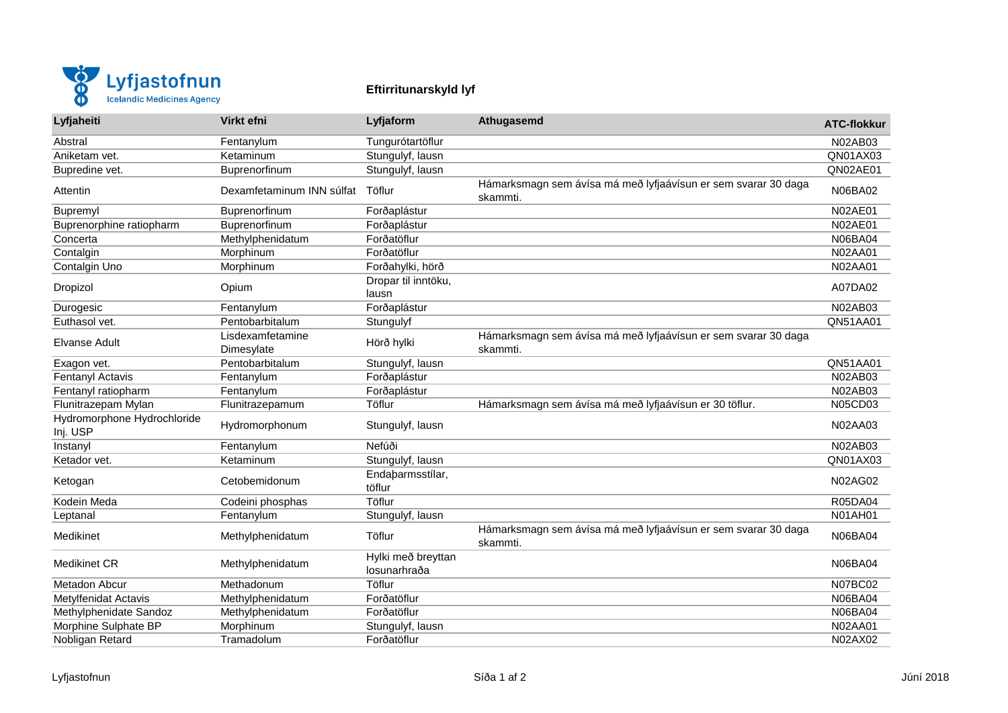

## **Eftirritunarskyld lyf**

| Lyfjaheiti                              | Virkt efni                     | Lyfjaform                          | Athugasemd                                                                 | <b>ATC-flokkur</b> |
|-----------------------------------------|--------------------------------|------------------------------------|----------------------------------------------------------------------------|--------------------|
| Abstral                                 | Fentanylum                     | Tungurótartöflur                   |                                                                            | N02AB03            |
| Aniketam vet.                           | Ketaminum                      | Stungulyf, lausn                   |                                                                            | QN01AX03           |
| Bupredine vet.                          | Buprenorfinum                  | Stungulyf, lausn                   |                                                                            | QN02AE01           |
| Attentin                                | Dexamfetaminum INN súlfat      | Töflur                             | Hámarksmagn sem ávísa má með lyfjaávísun er sem svarar 30 daga<br>skammti. | N06BA02            |
| Bupremyl                                | Buprenorfinum                  | Forðaplástur                       |                                                                            | <b>N02AE01</b>     |
| Buprenorphine ratiopharm                | Buprenorfinum                  | Forðaplástur                       |                                                                            | <b>N02AE01</b>     |
| Concerta                                | Methylphenidatum               | Forðatöflur                        |                                                                            | N06BA04            |
| Contalgin                               | Morphinum                      | Forðatöflur                        |                                                                            | N02AA01            |
| Contalgin Uno                           | Morphinum                      | Forðahylki, hörð                   |                                                                            | <b>N02AA01</b>     |
| Dropizol                                | Opium                          | Dropar til inntöku,<br>lausn       |                                                                            | A07DA02            |
| Durogesic                               | Fentanylum                     | Forðaplástur                       |                                                                            | N02AB03            |
| Euthasol vet.                           | Pentobarbitalum                | Stungulyf                          |                                                                            | QN51AA01           |
| Elvanse Adult                           | Lisdexamfetamine<br>Dimesylate | Hörð hylki                         | Hámarksmagn sem ávísa má með lyfjaávísun er sem svarar 30 daga<br>skammti. |                    |
| Exagon vet.                             | Pentobarbitalum                | Stungulyf, lausn                   |                                                                            | QN51AA01           |
| Fentanyl Actavis                        | Fentanylum                     | Forðaplástur                       |                                                                            | N02AB03            |
| Fentanyl ratiopharm                     | Fentanylum                     | Forðaplástur                       |                                                                            | N02AB03            |
| Flunitrazepam Mylan                     | Flunitrazepamum                | Töflur                             | Hámarksmagn sem ávísa má með lyfjaávísun er 30 töflur.                     | N05CD03            |
| Hydromorphone Hydrochloride<br>Inj. USP | Hydromorphonum                 | Stungulyf, lausn                   |                                                                            | N02AA03            |
| Instanyl                                | Fentanylum                     | Nefúði                             |                                                                            | N02AB03            |
| Ketador vet.                            | Ketaminum                      | Stungulyf, lausn                   |                                                                            | QN01AX03           |
| Ketogan                                 | Cetobemidonum                  | Endabarmsstílar,<br>töflur         |                                                                            | N02AG02            |
| Kodein Meda                             | Codeini phosphas               | Töflur                             |                                                                            | <b>R05DA04</b>     |
| Leptanal                                | Fentanylum                     | Stungulyf, lausn                   |                                                                            | N01AH01            |
| Medikinet                               | Methylphenidatum               | Töflur                             | Hámarksmagn sem ávísa má með lyfjaávísun er sem svarar 30 daga<br>skammti. | <b>N06BA04</b>     |
| Medikinet CR                            | Methylphenidatum               | Hylki með breyttan<br>losunarhraða |                                                                            | N06BA04            |
| Metadon Abcur                           | Methadonum                     | Töflur                             |                                                                            | <b>N07BC02</b>     |
| <b>Metylfenidat Actavis</b>             | Methylphenidatum               | Forðatöflur                        |                                                                            | N06BA04            |
| Methylphenidate Sandoz                  | Methylphenidatum               | Forðatöflur                        |                                                                            | <b>N06BA04</b>     |
| Morphine Sulphate BP                    | Morphinum                      | Stungulyf, lausn                   |                                                                            | N02AA01            |
| Nobligan Retard                         | Tramadolum                     | Forðatöflur                        |                                                                            | N02AX02            |